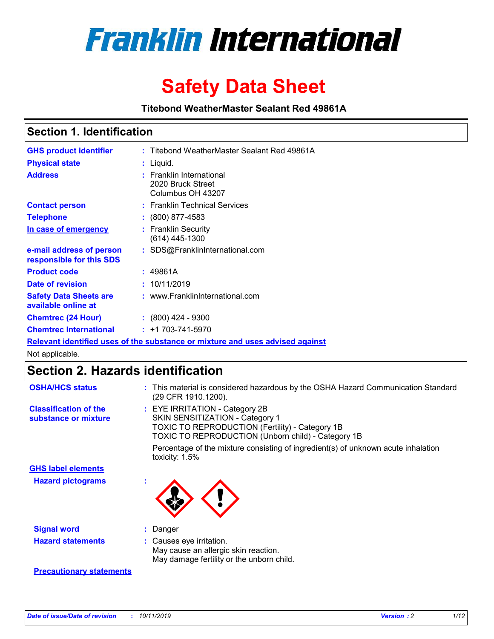

# **Safety Data Sheet**

**Titebond WeatherMaster Sealant Red 49861A**

### **Section 1. Identification**

| <b>GHS product identifier</b>                        | : Titebond WeatherMaster Sealant Red 49861A                                   |
|------------------------------------------------------|-------------------------------------------------------------------------------|
| <b>Physical state</b>                                | : Liquid.                                                                     |
| <b>Address</b>                                       | : Franklin International<br>2020 Bruck Street<br>Columbus OH 43207            |
| <b>Contact person</b>                                | : Franklin Technical Services                                                 |
| <b>Telephone</b>                                     | $\div$ (800) 877-4583                                                         |
| In case of emergency                                 | : Franklin Security<br>$(614)$ 445-1300                                       |
| e-mail address of person<br>responsible for this SDS | : SDS@FranklinInternational.com                                               |
| <b>Product code</b>                                  | : 49861A                                                                      |
| Date of revision                                     | : 10/11/2019                                                                  |
| <b>Safety Data Sheets are</b><br>available online at | : www.FranklinInternational.com                                               |
| <b>Chemtrec (24 Hour)</b>                            | $\div$ (800) 424 - 9300                                                       |
| <b>Chemtrec International</b>                        | $: +1703 - 741 - 5970$                                                        |
|                                                      | Relevant identified uses of the substance or mixture and uses advised against |

Not applicable.

## **Section 2. Hazards identification**

| <b>OSHA/HCS status</b>                               | : This material is considered hazardous by the OSHA Hazard Communication Standard<br>(29 CFR 1910.1200).                                                                          |
|------------------------------------------------------|-----------------------------------------------------------------------------------------------------------------------------------------------------------------------------------|
| <b>Classification of the</b><br>substance or mixture | : EYE IRRITATION - Category 2B<br>SKIN SENSITIZATION - Category 1<br><b>TOXIC TO REPRODUCTION (Fertility) - Category 1B</b><br>TOXIC TO REPRODUCTION (Unborn child) - Category 1B |
|                                                      | Percentage of the mixture consisting of ingredient(s) of unknown acute inhalation<br>toxicity: $1.5\%$                                                                            |
| <b>GHS label elements</b>                            |                                                                                                                                                                                   |
| <b>Hazard pictograms</b>                             |                                                                                                                                                                                   |
| <b>Signal word</b>                                   | : Danger                                                                                                                                                                          |
| <b>Hazard statements</b>                             | : Causes eye irritation.<br>May cause an allergic skin reaction.<br>May damage fertility or the unborn child.                                                                     |
| <b>Precautionary statements</b>                      |                                                                                                                                                                                   |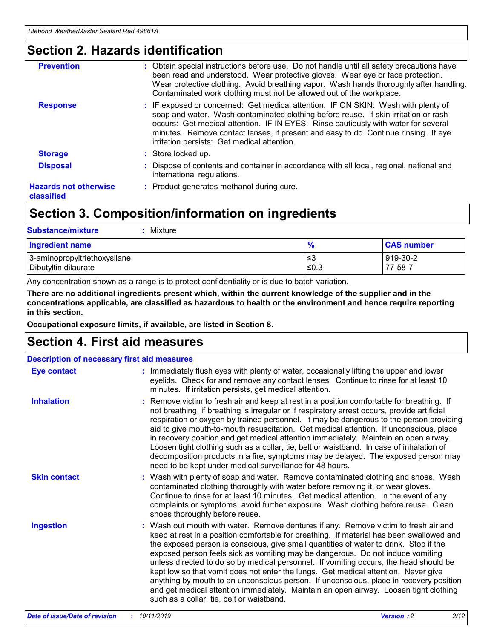### **Section 2. Hazards identification**

| <b>Prevention</b>                          | : Obtain special instructions before use. Do not handle until all safety precautions have<br>been read and understood. Wear protective gloves. Wear eye or face protection.<br>Wear protective clothing. Avoid breathing vapor. Wash hands thoroughly after handling.<br>Contaminated work clothing must not be allowed out of the workplace.                                                        |
|--------------------------------------------|------------------------------------------------------------------------------------------------------------------------------------------------------------------------------------------------------------------------------------------------------------------------------------------------------------------------------------------------------------------------------------------------------|
| <b>Response</b>                            | : IF exposed or concerned: Get medical attention. IF ON SKIN: Wash with plenty of<br>soap and water. Wash contaminated clothing before reuse. If skin irritation or rash<br>occurs: Get medical attention. IF IN EYES: Rinse cautiously with water for several<br>minutes. Remove contact lenses, if present and easy to do. Continue rinsing. If eye<br>irritation persists: Get medical attention. |
| <b>Storage</b>                             | : Store locked up.                                                                                                                                                                                                                                                                                                                                                                                   |
| <b>Disposal</b>                            | : Dispose of contents and container in accordance with all local, regional, national and<br>international regulations.                                                                                                                                                                                                                                                                               |
| <b>Hazards not otherwise</b><br>classified | : Product generates methanol during cure.                                                                                                                                                                                                                                                                                                                                                            |
|                                            |                                                                                                                                                                                                                                                                                                                                                                                                      |

### **Section 3. Composition/information on ingredients**

| <b>Substance/mixture</b><br>Mixture                  |               |                     |
|------------------------------------------------------|---------------|---------------------|
| <b>Ingredient name</b>                               | $\frac{9}{6}$ | <b>CAS number</b>   |
| 3-aminopropyltriethoxysilane<br>Dibutyltin dilaurate | ≤3<br>$≤0.3$  | 919-30-2<br>77-58-7 |

Any concentration shown as a range is to protect confidentiality or is due to batch variation.

**There are no additional ingredients present which, within the current knowledge of the supplier and in the concentrations applicable, are classified as hazardous to health or the environment and hence require reporting in this section.**

**Occupational exposure limits, if available, are listed in Section 8.**

### **Section 4. First aid measures**

| <b>Description of necessary first aid measures</b> |                                                                                                                                                                                                                                                                                                                                                                                                                                                                                                                                                                                                                                                                                                                                                                           |  |  |  |
|----------------------------------------------------|---------------------------------------------------------------------------------------------------------------------------------------------------------------------------------------------------------------------------------------------------------------------------------------------------------------------------------------------------------------------------------------------------------------------------------------------------------------------------------------------------------------------------------------------------------------------------------------------------------------------------------------------------------------------------------------------------------------------------------------------------------------------------|--|--|--|
| <b>Eye contact</b>                                 | : Immediately flush eyes with plenty of water, occasionally lifting the upper and lower<br>eyelids. Check for and remove any contact lenses. Continue to rinse for at least 10<br>minutes. If irritation persists, get medical attention.                                                                                                                                                                                                                                                                                                                                                                                                                                                                                                                                 |  |  |  |
| <b>Inhalation</b>                                  | : Remove victim to fresh air and keep at rest in a position comfortable for breathing. If<br>not breathing, if breathing is irregular or if respiratory arrest occurs, provide artificial<br>respiration or oxygen by trained personnel. It may be dangerous to the person providing<br>aid to give mouth-to-mouth resuscitation. Get medical attention. If unconscious, place<br>in recovery position and get medical attention immediately. Maintain an open airway.<br>Loosen tight clothing such as a collar, tie, belt or waistband. In case of inhalation of<br>decomposition products in a fire, symptoms may be delayed. The exposed person may<br>need to be kept under medical surveillance for 48 hours.                                                       |  |  |  |
| <b>Skin contact</b>                                | : Wash with plenty of soap and water. Remove contaminated clothing and shoes. Wash<br>contaminated clothing thoroughly with water before removing it, or wear gloves.<br>Continue to rinse for at least 10 minutes. Get medical attention. In the event of any<br>complaints or symptoms, avoid further exposure. Wash clothing before reuse. Clean<br>shoes thoroughly before reuse.                                                                                                                                                                                                                                                                                                                                                                                     |  |  |  |
| <b>Ingestion</b>                                   | : Wash out mouth with water. Remove dentures if any. Remove victim to fresh air and<br>keep at rest in a position comfortable for breathing. If material has been swallowed and<br>the exposed person is conscious, give small quantities of water to drink. Stop if the<br>exposed person feels sick as vomiting may be dangerous. Do not induce vomiting<br>unless directed to do so by medical personnel. If vomiting occurs, the head should be<br>kept low so that vomit does not enter the lungs. Get medical attention. Never give<br>anything by mouth to an unconscious person. If unconscious, place in recovery position<br>and get medical attention immediately. Maintain an open airway. Loosen tight clothing<br>such as a collar, tie, belt or waistband. |  |  |  |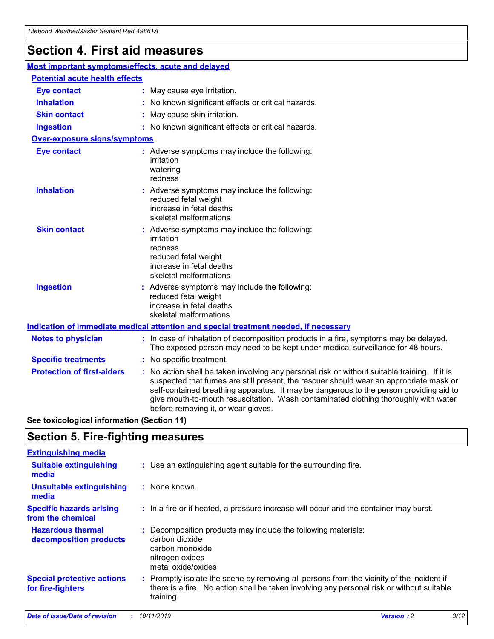## **Section 4. First aid measures**

| Most important symptoms/effects, acute and delayed                                          |                                                                                                                             |                                                                                                                                                                                                                                                                                                                                                                                                                 |  |  |
|---------------------------------------------------------------------------------------------|-----------------------------------------------------------------------------------------------------------------------------|-----------------------------------------------------------------------------------------------------------------------------------------------------------------------------------------------------------------------------------------------------------------------------------------------------------------------------------------------------------------------------------------------------------------|--|--|
| <b>Potential acute health effects</b>                                                       |                                                                                                                             |                                                                                                                                                                                                                                                                                                                                                                                                                 |  |  |
| <b>Eye contact</b>                                                                          |                                                                                                                             | : May cause eye irritation.                                                                                                                                                                                                                                                                                                                                                                                     |  |  |
| <b>Inhalation</b>                                                                           |                                                                                                                             | : No known significant effects or critical hazards.                                                                                                                                                                                                                                                                                                                                                             |  |  |
| <b>Skin contact</b>                                                                         |                                                                                                                             | : May cause skin irritation.                                                                                                                                                                                                                                                                                                                                                                                    |  |  |
| <b>Ingestion</b>                                                                            |                                                                                                                             | : No known significant effects or critical hazards.                                                                                                                                                                                                                                                                                                                                                             |  |  |
| <b>Over-exposure signs/symptoms</b>                                                         |                                                                                                                             |                                                                                                                                                                                                                                                                                                                                                                                                                 |  |  |
| <b>Eye contact</b>                                                                          |                                                                                                                             | : Adverse symptoms may include the following:<br>irritation<br>watering<br>redness                                                                                                                                                                                                                                                                                                                              |  |  |
| <b>Inhalation</b>                                                                           |                                                                                                                             | : Adverse symptoms may include the following:<br>reduced fetal weight<br>increase in fetal deaths<br>skeletal malformations                                                                                                                                                                                                                                                                                     |  |  |
| <b>Skin contact</b>                                                                         |                                                                                                                             | : Adverse symptoms may include the following:<br>irritation<br>redness<br>reduced fetal weight<br>increase in fetal deaths<br>skeletal malformations                                                                                                                                                                                                                                                            |  |  |
| <b>Ingestion</b>                                                                            | : Adverse symptoms may include the following:<br>reduced fetal weight<br>increase in fetal deaths<br>skeletal malformations |                                                                                                                                                                                                                                                                                                                                                                                                                 |  |  |
| <b>Indication of immediate medical attention and special treatment needed, if necessary</b> |                                                                                                                             |                                                                                                                                                                                                                                                                                                                                                                                                                 |  |  |
| <b>Notes to physician</b>                                                                   |                                                                                                                             | : In case of inhalation of decomposition products in a fire, symptoms may be delayed.<br>The exposed person may need to be kept under medical surveillance for 48 hours.                                                                                                                                                                                                                                        |  |  |
| <b>Specific treatments</b>                                                                  |                                                                                                                             | : No specific treatment.                                                                                                                                                                                                                                                                                                                                                                                        |  |  |
| <b>Protection of first-aiders</b>                                                           |                                                                                                                             | : No action shall be taken involving any personal risk or without suitable training. If it is<br>suspected that fumes are still present, the rescuer should wear an appropriate mask or<br>self-contained breathing apparatus. It may be dangerous to the person providing aid to<br>give mouth-to-mouth resuscitation. Wash contaminated clothing thoroughly with water<br>before removing it, or wear gloves. |  |  |

**See toxicological information (Section 11)**

### **Section 5. Fire-fighting measures**

| <b>Extinguishing media</b>                             |                                                                                                                                                                                                     |
|--------------------------------------------------------|-----------------------------------------------------------------------------------------------------------------------------------------------------------------------------------------------------|
| <b>Suitable extinguishing</b><br>media                 | : Use an extinguishing agent suitable for the surrounding fire.                                                                                                                                     |
| <b>Unsuitable extinguishing</b><br>media               | : None known.                                                                                                                                                                                       |
| <b>Specific hazards arising</b><br>from the chemical   | : In a fire or if heated, a pressure increase will occur and the container may burst.                                                                                                               |
| <b>Hazardous thermal</b><br>decomposition products     | : Decomposition products may include the following materials:<br>carbon dioxide<br>carbon monoxide<br>nitrogen oxides<br>metal oxide/oxides                                                         |
| <b>Special protective actions</b><br>for fire-fighters | : Promptly isolate the scene by removing all persons from the vicinity of the incident if<br>there is a fire. No action shall be taken involving any personal risk or without suitable<br>training. |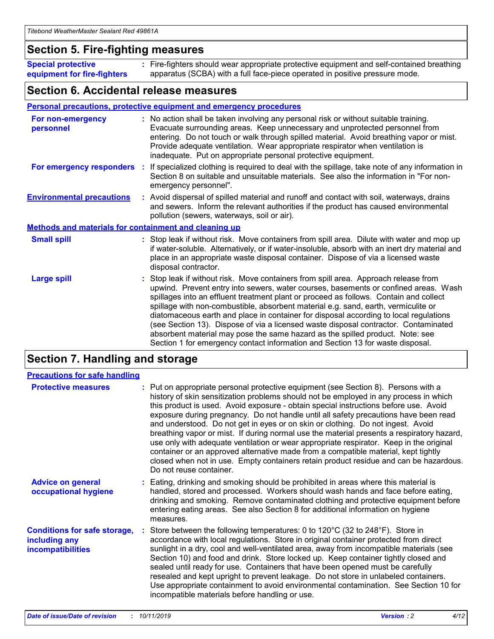### **Section 5. Fire-fighting measures**

**Special protective equipment for fire-fighters** Fire-fighters should wear appropriate protective equipment and self-contained breathing **:** apparatus (SCBA) with a full face-piece operated in positive pressure mode.

### **Section 6. Accidental release measures**

#### **Personal precautions, protective equipment and emergency procedures**

| For non-emergency<br>personnel                               | : No action shall be taken involving any personal risk or without suitable training.<br>Evacuate surrounding areas. Keep unnecessary and unprotected personnel from<br>entering. Do not touch or walk through spilled material. Avoid breathing vapor or mist.<br>Provide adequate ventilation. Wear appropriate respirator when ventilation is<br>inadequate. Put on appropriate personal protective equipment.                                                                                                                                                                                                                                                                                             |
|--------------------------------------------------------------|--------------------------------------------------------------------------------------------------------------------------------------------------------------------------------------------------------------------------------------------------------------------------------------------------------------------------------------------------------------------------------------------------------------------------------------------------------------------------------------------------------------------------------------------------------------------------------------------------------------------------------------------------------------------------------------------------------------|
|                                                              | For emergency responders : If specialized clothing is required to deal with the spillage, take note of any information in<br>Section 8 on suitable and unsuitable materials. See also the information in "For non-<br>emergency personnel".                                                                                                                                                                                                                                                                                                                                                                                                                                                                  |
| <b>Environmental precautions</b>                             | : Avoid dispersal of spilled material and runoff and contact with soil, waterways, drains<br>and sewers. Inform the relevant authorities if the product has caused environmental<br>pollution (sewers, waterways, soil or air).                                                                                                                                                                                                                                                                                                                                                                                                                                                                              |
| <b>Methods and materials for containment and cleaning up</b> |                                                                                                                                                                                                                                                                                                                                                                                                                                                                                                                                                                                                                                                                                                              |
| <b>Small spill</b>                                           | : Stop leak if without risk. Move containers from spill area. Dilute with water and mop up<br>if water-soluble. Alternatively, or if water-insoluble, absorb with an inert dry material and<br>place in an appropriate waste disposal container. Dispose of via a licensed waste<br>disposal contractor.                                                                                                                                                                                                                                                                                                                                                                                                     |
| <b>Large spill</b>                                           | : Stop leak if without risk. Move containers from spill area. Approach release from<br>upwind. Prevent entry into sewers, water courses, basements or confined areas. Wash<br>spillages into an effluent treatment plant or proceed as follows. Contain and collect<br>spillage with non-combustible, absorbent material e.g. sand, earth, vermiculite or<br>diatomaceous earth and place in container for disposal according to local regulations<br>(see Section 13). Dispose of via a licensed waste disposal contractor. Contaminated<br>absorbent material may pose the same hazard as the spilled product. Note: see<br>Section 1 for emergency contact information and Section 13 for waste disposal. |

### **Section 7. Handling and storage**

| <b>Precautions for safe handling</b>                                             |                                                                                                                                                                                                                                                                                                                                                                                                                                                                                                                                                                                                                                                                                                                                                                                                                                                  |
|----------------------------------------------------------------------------------|--------------------------------------------------------------------------------------------------------------------------------------------------------------------------------------------------------------------------------------------------------------------------------------------------------------------------------------------------------------------------------------------------------------------------------------------------------------------------------------------------------------------------------------------------------------------------------------------------------------------------------------------------------------------------------------------------------------------------------------------------------------------------------------------------------------------------------------------------|
| <b>Protective measures</b>                                                       | : Put on appropriate personal protective equipment (see Section 8). Persons with a<br>history of skin sensitization problems should not be employed in any process in which<br>this product is used. Avoid exposure - obtain special instructions before use. Avoid<br>exposure during pregnancy. Do not handle until all safety precautions have been read<br>and understood. Do not get in eyes or on skin or clothing. Do not ingest. Avoid<br>breathing vapor or mist. If during normal use the material presents a respiratory hazard,<br>use only with adequate ventilation or wear appropriate respirator. Keep in the original<br>container or an approved alternative made from a compatible material, kept tightly<br>closed when not in use. Empty containers retain product residue and can be hazardous.<br>Do not reuse container. |
| <b>Advice on general</b><br>occupational hygiene                                 | : Eating, drinking and smoking should be prohibited in areas where this material is<br>handled, stored and processed. Workers should wash hands and face before eating,<br>drinking and smoking. Remove contaminated clothing and protective equipment before<br>entering eating areas. See also Section 8 for additional information on hygiene<br>measures.                                                                                                                                                                                                                                                                                                                                                                                                                                                                                    |
| <b>Conditions for safe storage,</b><br>including any<br><b>incompatibilities</b> | Store between the following temperatures: 0 to $120^{\circ}$ C (32 to $248^{\circ}$ F). Store in<br>accordance with local regulations. Store in original container protected from direct<br>sunlight in a dry, cool and well-ventilated area, away from incompatible materials (see<br>Section 10) and food and drink. Store locked up. Keep container tightly closed and<br>sealed until ready for use. Containers that have been opened must be carefully<br>resealed and kept upright to prevent leakage. Do not store in unlabeled containers.<br>Use appropriate containment to avoid environmental contamination. See Section 10 for<br>incompatible materials before handling or use.                                                                                                                                                     |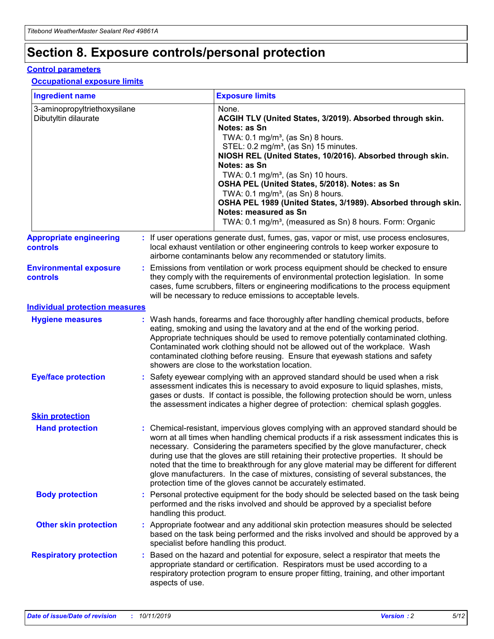## **Section 8. Exposure controls/personal protection**

#### **Control parameters**

#### **Occupational exposure limits**

| <b>Ingredient name</b>                               |    |                        | <b>Exposure limits</b>                                                                                                                                                                                                                                                                                                                                                                                                                                                                                                                                                                                                 |
|------------------------------------------------------|----|------------------------|------------------------------------------------------------------------------------------------------------------------------------------------------------------------------------------------------------------------------------------------------------------------------------------------------------------------------------------------------------------------------------------------------------------------------------------------------------------------------------------------------------------------------------------------------------------------------------------------------------------------|
| 3-aminopropyltriethoxysilane<br>Dibutyltin dilaurate |    |                        | None.<br>ACGIH TLV (United States, 3/2019). Absorbed through skin.<br>Notes: as Sn<br>TWA: $0.1 \text{ mg/m}^3$ , (as Sn) 8 hours.<br>STEL: 0.2 mg/m <sup>3</sup> , (as Sn) 15 minutes.<br>NIOSH REL (United States, 10/2016). Absorbed through skin.<br>Notes: as Sn<br>TWA: 0.1 mg/m <sup>3</sup> , (as Sn) 10 hours.<br>OSHA PEL (United States, 5/2018). Notes: as Sn<br>TWA: $0.1 \text{ mg/m}^3$ , (as Sn) 8 hours.<br>OSHA PEL 1989 (United States, 3/1989). Absorbed through skin.<br>Notes: measured as Sn<br>TWA: 0.1 mg/m <sup>3</sup> , (measured as Sn) 8 hours. Form: Organic                            |
| <b>Appropriate engineering</b><br>controls           |    |                        | : If user operations generate dust, fumes, gas, vapor or mist, use process enclosures,<br>local exhaust ventilation or other engineering controls to keep worker exposure to<br>airborne contaminants below any recommended or statutory limits.                                                                                                                                                                                                                                                                                                                                                                       |
| <b>Environmental exposure</b><br>controls            |    |                        | Emissions from ventilation or work process equipment should be checked to ensure<br>they comply with the requirements of environmental protection legislation. In some<br>cases, fume scrubbers, filters or engineering modifications to the process equipment<br>will be necessary to reduce emissions to acceptable levels.                                                                                                                                                                                                                                                                                          |
| <b>Individual protection measures</b>                |    |                        |                                                                                                                                                                                                                                                                                                                                                                                                                                                                                                                                                                                                                        |
| <b>Hygiene measures</b>                              |    |                        | : Wash hands, forearms and face thoroughly after handling chemical products, before<br>eating, smoking and using the lavatory and at the end of the working period.<br>Appropriate techniques should be used to remove potentially contaminated clothing.<br>Contaminated work clothing should not be allowed out of the workplace. Wash<br>contaminated clothing before reusing. Ensure that eyewash stations and safety<br>showers are close to the workstation location.                                                                                                                                            |
| <b>Eye/face protection</b>                           |    |                        | : Safety eyewear complying with an approved standard should be used when a risk<br>assessment indicates this is necessary to avoid exposure to liquid splashes, mists,<br>gases or dusts. If contact is possible, the following protection should be worn, unless<br>the assessment indicates a higher degree of protection: chemical splash goggles.                                                                                                                                                                                                                                                                  |
| <b>Skin protection</b>                               |    |                        |                                                                                                                                                                                                                                                                                                                                                                                                                                                                                                                                                                                                                        |
| <b>Hand protection</b>                               |    |                        | : Chemical-resistant, impervious gloves complying with an approved standard should be<br>worn at all times when handling chemical products if a risk assessment indicates this is<br>necessary. Considering the parameters specified by the glove manufacturer, check<br>during use that the gloves are still retaining their protective properties. It should be<br>noted that the time to breakthrough for any glove material may be different for different<br>glove manufacturers. In the case of mixtures, consisting of several substances, the<br>protection time of the gloves cannot be accurately estimated. |
| <b>Body protection</b>                               |    | handling this product. | Personal protective equipment for the body should be selected based on the task being<br>performed and the risks involved and should be approved by a specialist before                                                                                                                                                                                                                                                                                                                                                                                                                                                |
| <b>Other skin protection</b>                         |    |                        | : Appropriate footwear and any additional skin protection measures should be selected<br>based on the task being performed and the risks involved and should be approved by a<br>specialist before handling this product.                                                                                                                                                                                                                                                                                                                                                                                              |
| <b>Respiratory protection</b>                        | ÷. | aspects of use.        | Based on the hazard and potential for exposure, select a respirator that meets the<br>appropriate standard or certification. Respirators must be used according to a<br>respiratory protection program to ensure proper fitting, training, and other important                                                                                                                                                                                                                                                                                                                                                         |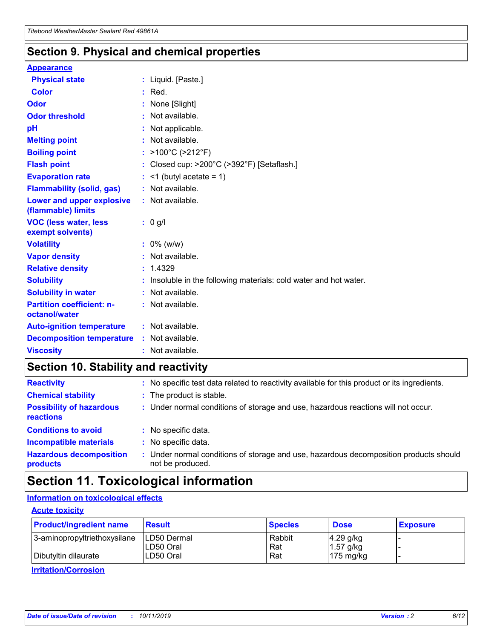### **Section 9. Physical and chemical properties**

#### **Appearance**

| <b>Physical state</b>                             | : Liquid. [Paste.]                                                |
|---------------------------------------------------|-------------------------------------------------------------------|
| Color                                             | $:$ Red.                                                          |
| Odor                                              | : None [Slight]                                                   |
| <b>Odor threshold</b>                             | : Not available.                                                  |
| рH                                                | : Not applicable.                                                 |
| <b>Melting point</b>                              | : Not available.                                                  |
| <b>Boiling point</b>                              | : >100°C (>212°F)                                                 |
| <b>Flash point</b>                                | : Closed cup: >200°C (>392°F) [Setaflash.]                        |
| <b>Evaporation rate</b>                           | $:$ <1 (butyl acetate = 1)                                        |
| <b>Flammability (solid, gas)</b>                  | : Not available.                                                  |
| Lower and upper explosive<br>(flammable) limits   | : Not available.                                                  |
| <b>VOC (less water, less</b><br>exempt solvents)  | : 0 g/l                                                           |
| <b>Volatility</b>                                 | $: 0\%$ (w/w)                                                     |
| <b>Vapor density</b>                              | : Not available.                                                  |
| <b>Relative density</b>                           | : 1.4329                                                          |
| <b>Solubility</b>                                 | : Insoluble in the following materials: cold water and hot water. |
| <b>Solubility in water</b>                        | : Not available.                                                  |
| <b>Partition coefficient: n-</b><br>octanol/water | : Not available.                                                  |
| <b>Auto-ignition temperature</b>                  | : Not available.                                                  |
| <b>Decomposition temperature</b>                  | : Not available.                                                  |
| <b>Viscosity</b>                                  | : Not available.                                                  |

### **Section 10. Stability and reactivity**

| <b>Reactivity</b>                            |    | : No specific test data related to reactivity available for this product or its ingredients.            |
|----------------------------------------------|----|---------------------------------------------------------------------------------------------------------|
| <b>Chemical stability</b>                    |    | : The product is stable.                                                                                |
| <b>Possibility of hazardous</b><br>reactions |    | : Under normal conditions of storage and use, hazardous reactions will not occur.                       |
| <b>Conditions to avoid</b>                   |    | : No specific data.                                                                                     |
| <b>Incompatible materials</b>                | ٠. | No specific data.                                                                                       |
| <b>Hazardous decomposition</b><br>products   | ÷. | Under normal conditions of storage and use, hazardous decomposition products should<br>not be produced. |

### **Section 11. Toxicological information**

#### **Information on toxicological effects**

#### **Acute toxicity**

| <b>Product/ingredient name</b> | <b>Result</b>           | <b>Species</b> | <b>Dose</b>                | <b>Exposure</b> |
|--------------------------------|-------------------------|----------------|----------------------------|-----------------|
| 3-aminopropyltriethoxysilane   | <b>ILD50 Dermal</b>     | Rabbit         | 4.29 g/kg                  |                 |
| Dibutyltin dilaurate           | ILD50 Oral<br>LD50 Oral | Rat<br>Rat     | $1.57$ g/kg<br>175 $mg/kg$ |                 |
|                                |                         |                |                            |                 |

**Irritation/Corrosion**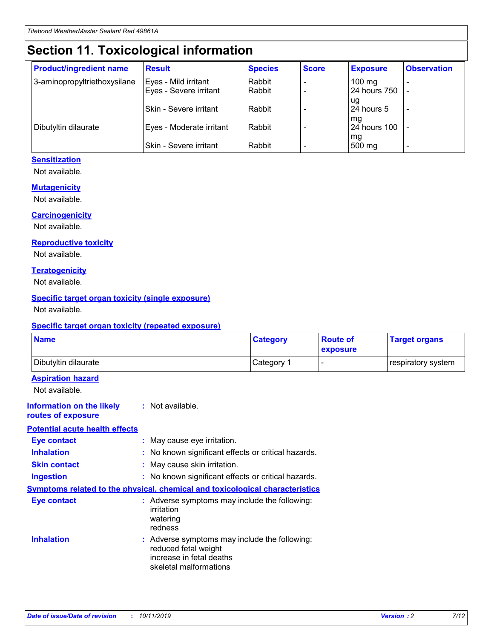## **Section 11. Toxicological information**

| <b>Product/ingredient name</b> | <b>Result</b>            | <b>Species</b> | <b>Score</b> | <b>Exposure</b>    | <b>Observation</b> |
|--------------------------------|--------------------------|----------------|--------------|--------------------|--------------------|
| 3-aminopropyltriethoxysilane   | Eyes - Mild irritant     | Rabbit         |              | $100$ mg           |                    |
|                                | Eyes - Severe irritant   | Rabbit         |              | 24 hours 750       |                    |
|                                |                          |                |              | ug                 |                    |
|                                | Skin - Severe irritant   | Rabbit         |              | 24 hours 5         | -                  |
| Dibutyltin dilaurate           | Eyes - Moderate irritant | Rabbit         |              | mg<br>24 hours 100 |                    |
|                                |                          |                |              | mg                 |                    |
|                                | Skin - Severe irritant   | Rabbit         |              | 500 mg             | -                  |

#### **Sensitization**

Not available.

#### **Mutagenicity**

Not available.

#### **Carcinogenicity**

Not available.

#### **Reproductive toxicity**

Not available.

#### **Teratogenicity**

Not available.

#### **Specific target organ toxicity (single exposure)**

Not available.

#### **Specific target organ toxicity (repeated exposure)**

| <b>Name</b>                                                                         |                                                                            | <b>Category</b>                                     | <b>Route of</b><br>exposure | <b>Target organs</b> |
|-------------------------------------------------------------------------------------|----------------------------------------------------------------------------|-----------------------------------------------------|-----------------------------|----------------------|
| Dibutyltin dilaurate                                                                |                                                                            | Category 1                                          |                             | respiratory system   |
| <b>Aspiration hazard</b><br>Not available.                                          |                                                                            |                                                     |                             |                      |
| <b>Information on the likely</b><br>routes of exposure                              | : Not available.                                                           |                                                     |                             |                      |
| <b>Potential acute health effects</b>                                               |                                                                            |                                                     |                             |                      |
| <b>Eye contact</b>                                                                  | : May cause eye irritation.                                                |                                                     |                             |                      |
| <b>Inhalation</b>                                                                   |                                                                            | : No known significant effects or critical hazards. |                             |                      |
| <b>Skin contact</b>                                                                 | : May cause skin irritation.                                               |                                                     |                             |                      |
| <b>Ingestion</b>                                                                    |                                                                            | : No known significant effects or critical hazards. |                             |                      |
| <b>Symptoms related to the physical, chemical and toxicological characteristics</b> |                                                                            |                                                     |                             |                      |
| <b>Eye contact</b>                                                                  | irritation<br>watering<br>redness                                          | : Adverse symptoms may include the following:       |                             |                      |
| <b>Inhalation</b>                                                                   | reduced fetal weight<br>increase in fetal deaths<br>skeletal malformations | : Adverse symptoms may include the following:       |                             |                      |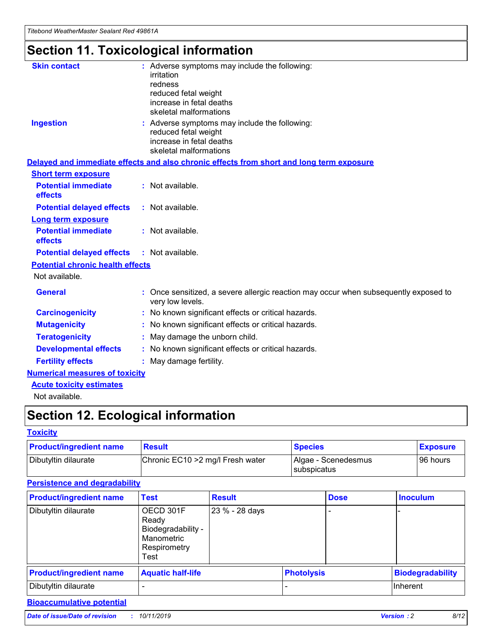## **Section 11. Toxicological information**

| <b>Skin contact</b>                     |                                                                                                          |
|-----------------------------------------|----------------------------------------------------------------------------------------------------------|
|                                         | : Adverse symptoms may include the following:<br>irritation                                              |
|                                         | redness                                                                                                  |
|                                         | reduced fetal weight                                                                                     |
|                                         | increase in fetal deaths                                                                                 |
|                                         | skeletal malformations                                                                                   |
| <b>Ingestion</b>                        | : Adverse symptoms may include the following:                                                            |
|                                         | reduced fetal weight                                                                                     |
|                                         | increase in fetal deaths                                                                                 |
|                                         | skeletal malformations                                                                                   |
|                                         | Delayed and immediate effects and also chronic effects from short and long term exposure                 |
| <b>Short term exposure</b>              |                                                                                                          |
| <b>Potential immediate</b>              | : Not available.                                                                                         |
| effects                                 |                                                                                                          |
| <b>Potential delayed effects</b>        | : Not available.                                                                                         |
| <b>Long term exposure</b>               |                                                                                                          |
| <b>Potential immediate</b>              | : Not available.                                                                                         |
| effects                                 |                                                                                                          |
| <b>Potential delayed effects</b>        | : Not available.                                                                                         |
| <b>Potential chronic health effects</b> |                                                                                                          |
| Not available.                          |                                                                                                          |
| <b>General</b>                          | : Once sensitized, a severe allergic reaction may occur when subsequently exposed to<br>very low levels. |
| <b>Carcinogenicity</b>                  | : No known significant effects or critical hazards.                                                      |
| <b>Mutagenicity</b>                     | No known significant effects or critical hazards.                                                        |
| <b>Teratogenicity</b>                   | May damage the unborn child.                                                                             |
| <b>Developmental effects</b>            | No known significant effects or critical hazards.                                                        |
| <b>Fertility effects</b>                | : May damage fertility.                                                                                  |
| <b>Numerical measures of toxicity</b>   |                                                                                                          |
| <b>Acute toxicity estimates</b>         |                                                                                                          |
|                                         |                                                                                                          |

Not available.

## **Section 12. Ecological information**

#### **Toxicity**

| <b>Product/ingredient name</b> | <b>Result</b>                     | <b>Species</b>                       | <b>Exposure</b> |
|--------------------------------|-----------------------------------|--------------------------------------|-----------------|
| Dibutyltin dilaurate           | Chronic EC10 > 2 mg/l Fresh water | Algae - Scenedesmus<br>I subspicatus | l 96 hours      |

### **Persistence and degradability**

| <b>Product/ingredient name</b> | <b>Test</b>                                                                    | <b>Result</b>  |                   | <b>Dose</b> | <b>Inoculum</b>         |
|--------------------------------|--------------------------------------------------------------------------------|----------------|-------------------|-------------|-------------------------|
| Dibutyltin dilaurate           | OECD 301F<br>Ready<br>Biodegradability -<br>Manometric<br>Respirometry<br>Test | 23 % - 28 days |                   |             |                         |
| <b>Product/ingredient name</b> | <b>Aquatic half-life</b>                                                       |                | <b>Photolysis</b> |             | <b>Biodegradability</b> |
| Dibutyltin dilaurate           |                                                                                |                |                   |             | Inherent                |

#### **Bioaccumulative potential**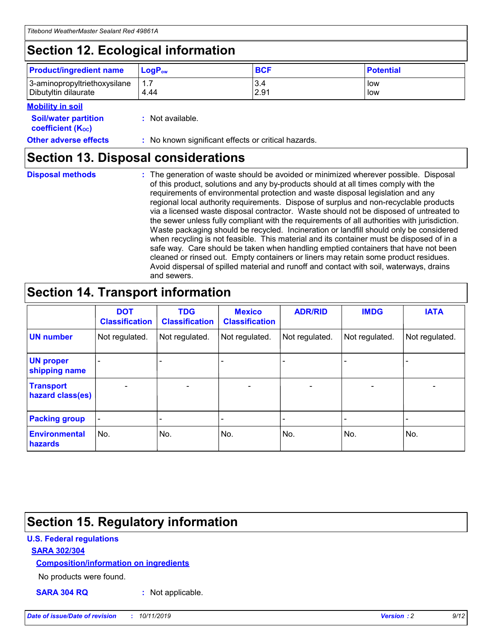## **Section 12. Ecological information**

| <b>Product/ingredient name</b> | $LoaPow$ | <b>BCF</b> | <b>Potential</b> |
|--------------------------------|----------|------------|------------------|
| 3-aminopropyltriethoxysilane   | 1.7      | 3.4        | low              |
| Dibutyltin dilaurate           | 4.44     | 2.91       | low              |

#### **Mobility in soil**

| <b>Soil/water partition</b><br>coefficient (K <sub>oc</sub> ) | : Not available.                                    |
|---------------------------------------------------------------|-----------------------------------------------------|
| <b>Other adverse effects</b>                                  | : No known significant effects or critical hazards. |

### **Section 13. Disposal considerations**

**Disposal methods :**

The generation of waste should be avoided or minimized wherever possible. Disposal of this product, solutions and any by-products should at all times comply with the requirements of environmental protection and waste disposal legislation and any regional local authority requirements. Dispose of surplus and non-recyclable products via a licensed waste disposal contractor. Waste should not be disposed of untreated to the sewer unless fully compliant with the requirements of all authorities with jurisdiction. Waste packaging should be recycled. Incineration or landfill should only be considered when recycling is not feasible. This material and its container must be disposed of in a safe way. Care should be taken when handling emptied containers that have not been cleaned or rinsed out. Empty containers or liners may retain some product residues. Avoid dispersal of spilled material and runoff and contact with soil, waterways, drains and sewers.

## **Section 14. Transport information**

|                                      | <b>DOT</b><br><b>Classification</b> | <b>TDG</b><br><b>Classification</b> | <b>Mexico</b><br><b>Classification</b> | <b>ADR/RID</b>           | <b>IMDG</b>              | <b>IATA</b>              |
|--------------------------------------|-------------------------------------|-------------------------------------|----------------------------------------|--------------------------|--------------------------|--------------------------|
| <b>UN number</b>                     | Not regulated.                      | Not regulated.                      | Not regulated.                         | Not regulated.           | Not regulated.           | Not regulated.           |
| <b>UN proper</b><br>shipping name    | $\qquad \qquad \blacksquare$        |                                     |                                        |                          |                          |                          |
| <b>Transport</b><br>hazard class(es) | $\blacksquare$                      | $\blacksquare$                      | $\blacksquare$                         | $\overline{\phantom{a}}$ | $\blacksquare$           | $\blacksquare$           |
| <b>Packing group</b>                 | $\overline{\phantom{a}}$            | $\overline{\phantom{0}}$            | $\qquad \qquad \blacksquare$           | -                        | $\overline{\phantom{0}}$ | $\overline{\phantom{a}}$ |
| <b>Environmental</b><br>hazards      | No.                                 | No.                                 | No.                                    | No.                      | No.                      | No.                      |

## **Section 15. Regulatory information**

#### **U.S. Federal regulations**

#### **SARA 302/304**

#### **Composition/information on ingredients**

No products were found.

**SARA 304 RQ :** Not applicable.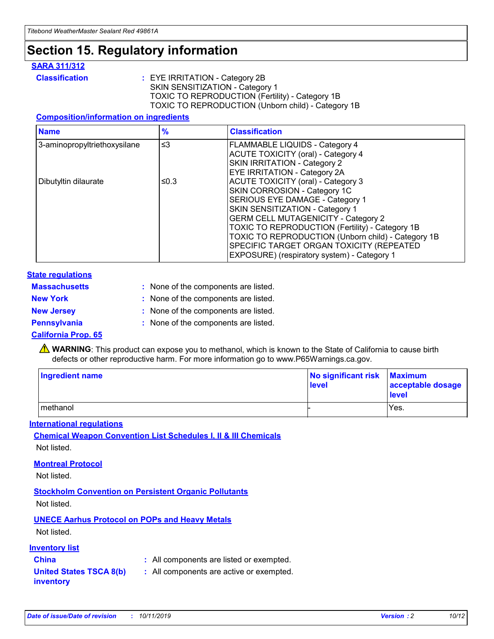## **Section 15. Regulatory information**

#### **SARA 311/312**

**Classification :** EYE IRRITATION - Category 2B SKIN SENSITIZATION - Category 1 TOXIC TO REPRODUCTION (Fertility) - Category 1B TOXIC TO REPRODUCTION (Unborn child) - Category 1B

#### **Composition/information on ingredients**

| <b>Name</b>                  | $\frac{9}{6}$ | <b>Classification</b>                                                                                                                                                                                                                                                                                                                  |
|------------------------------|---------------|----------------------------------------------------------------------------------------------------------------------------------------------------------------------------------------------------------------------------------------------------------------------------------------------------------------------------------------|
| 3-aminopropyltriethoxysilane | $\leq$ 3      | <b>FLAMMABLE LIQUIDS - Category 4</b><br><b>ACUTE TOXICITY (oral) - Category 4</b><br>SKIN IRRITATION - Category 2                                                                                                                                                                                                                     |
| Dibutyltin dilaurate         | ≤0.3          | EYE IRRITATION - Category 2A<br><b>ACUTE TOXICITY (oral) - Category 3</b><br>SKIN CORROSION - Category 1C<br>SERIOUS EYE DAMAGE - Category 1<br>SKIN SENSITIZATION - Category 1<br><b>GERM CELL MUTAGENICITY - Category 2</b><br>TOXIC TO REPRODUCTION (Fertility) - Category 1B<br>TOXIC TO REPRODUCTION (Unborn child) - Category 1B |
|                              |               | SPECIFIC TARGET ORGAN TOXICITY (REPEATED<br>EXPOSURE) (respiratory system) - Category 1                                                                                                                                                                                                                                                |

#### **State regulations**

| <b>Massachusetts</b> | : None of the components are listed. |
|----------------------|--------------------------------------|
| <b>New York</b>      | : None of the components are listed. |
| <b>New Jersey</b>    | : None of the components are listed. |
| Pennsylvania         | : None of the components are listed. |

#### **California Prop. 65**

**A** WARNING: This product can expose you to methanol, which is known to the State of California to cause birth defects or other reproductive harm. For more information go to www.P65Warnings.ca.gov.

| <b>Ingredient name</b> | No significant risk Maximum<br>level | acceptable dosage<br>level |
|------------------------|--------------------------------------|----------------------------|
| methanol               |                                      | Yes.                       |

#### **International regulations**

**Chemical Weapon Convention List Schedules I, II & III Chemicals** Not listed.

#### **Montreal Protocol**

Not listed.

**Stockholm Convention on Persistent Organic Pollutants**

Not listed.

#### **UNECE Aarhus Protocol on POPs and Heavy Metals**

Not listed.

#### **Inventory list**

### **China :** All components are listed or exempted.

**United States TSCA 8(b) inventory :** All components are active or exempted.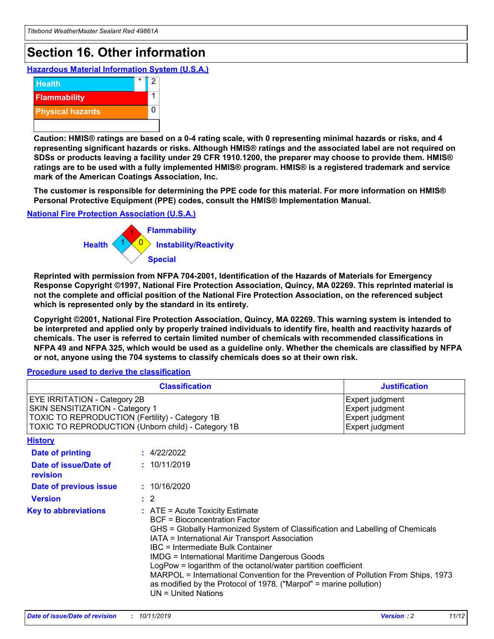## **Section 16. Other information**

**Hazardous Material Information System (U.S.A.)**



**Caution: HMIS® ratings are based on a 0-4 rating scale, with 0 representing minimal hazards or risks, and 4 representing significant hazards or risks. Although HMIS® ratings and the associated label are not required on SDSs or products leaving a facility under 29 CFR 1910.1200, the preparer may choose to provide them. HMIS® ratings are to be used with a fully implemented HMIS® program. HMIS® is a registered trademark and service mark of the American Coatings Association, Inc.**

**The customer is responsible for determining the PPE code for this material. For more information on HMIS® Personal Protective Equipment (PPE) codes, consult the HMIS® Implementation Manual.**

#### **National Fire Protection Association (U.S.A.)**



**Reprinted with permission from NFPA 704-2001, Identification of the Hazards of Materials for Emergency Response Copyright ©1997, National Fire Protection Association, Quincy, MA 02269. This reprinted material is not the complete and official position of the National Fire Protection Association, on the referenced subject which is represented only by the standard in its entirety.**

**Copyright ©2001, National Fire Protection Association, Quincy, MA 02269. This warning system is intended to be interpreted and applied only by properly trained individuals to identify fire, health and reactivity hazards of chemicals. The user is referred to certain limited number of chemicals with recommended classifications in NFPA 49 and NFPA 325, which would be used as a guideline only. Whether the chemicals are classified by NFPA or not, anyone using the 704 systems to classify chemicals does so at their own risk.**

#### **Procedure used to derive the classification**

| <b>Classification</b>                                                                                                                                                                  |                                                                                                                                                                                                                                                                   | <b>Justification</b>                                                                                                                                                                                                                                                                                       |  |
|----------------------------------------------------------------------------------------------------------------------------------------------------------------------------------------|-------------------------------------------------------------------------------------------------------------------------------------------------------------------------------------------------------------------------------------------------------------------|------------------------------------------------------------------------------------------------------------------------------------------------------------------------------------------------------------------------------------------------------------------------------------------------------------|--|
| <b>EYE IRRITATION - Category 2B</b><br>SKIN SENSITIZATION - Category 1<br><b>TOXIC TO REPRODUCTION (Fertility) - Category 1B</b><br>TOXIC TO REPRODUCTION (Unborn child) - Category 1B |                                                                                                                                                                                                                                                                   | Expert judgment<br>Expert judgment<br>Expert judgment<br>Expert judgment                                                                                                                                                                                                                                   |  |
| <b>History</b>                                                                                                                                                                         |                                                                                                                                                                                                                                                                   |                                                                                                                                                                                                                                                                                                            |  |
| <b>Date of printing</b>                                                                                                                                                                | : 4/22/2022                                                                                                                                                                                                                                                       |                                                                                                                                                                                                                                                                                                            |  |
| Date of issue/Date of<br>revision                                                                                                                                                      | : 10/11/2019                                                                                                                                                                                                                                                      |                                                                                                                                                                                                                                                                                                            |  |
| Date of previous issue                                                                                                                                                                 | : 10/16/2020                                                                                                                                                                                                                                                      |                                                                                                                                                                                                                                                                                                            |  |
| <b>Version</b>                                                                                                                                                                         | $\therefore$ 2                                                                                                                                                                                                                                                    |                                                                                                                                                                                                                                                                                                            |  |
| <b>Key to abbreviations</b>                                                                                                                                                            | $\therefore$ ATE = Acute Toxicity Estimate<br><b>BCF</b> = Bioconcentration Factor<br>IATA = International Air Transport Association<br><b>IBC</b> = Intermediate Bulk Container<br><b>IMDG = International Maritime Dangerous Goods</b><br>$UN = United Nations$ | GHS = Globally Harmonized System of Classification and Labelling of Chemicals<br>LogPow = logarithm of the octanol/water partition coefficient<br>MARPOL = International Convention for the Prevention of Pollution From Ships, 1973<br>as modified by the Protocol of 1978. ("Marpol" = marine pollution) |  |